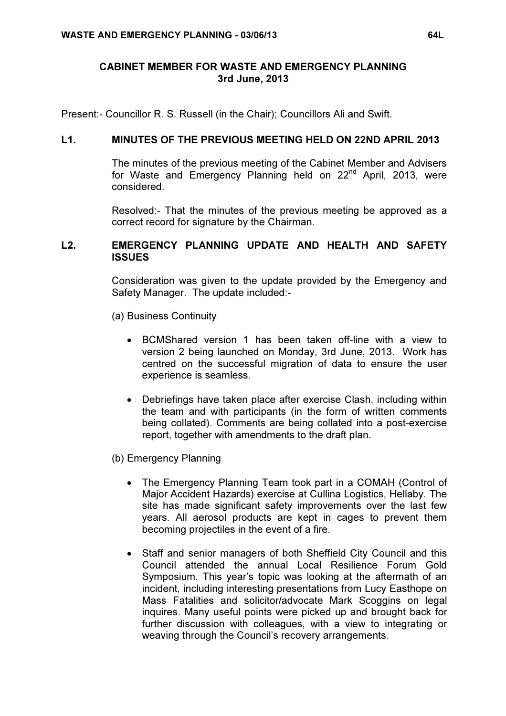## CABINET MEMBER FOR WASTE AND EMERGENCY PLANNING 3rd June, 2013

Present:- Councillor R. S. Russell (in the Chair); Councillors Ali and Swift.

# L1. MINUTES OF THE PREVIOUS MEETING HELD ON 22ND APRIL 2013

 The minutes of the previous meeting of the Cabinet Member and Advisers for Waste and Emergency Planning held on 22<sup>nd</sup> April, 2013, were considered.

Resolved:- That the minutes of the previous meeting be approved as a correct record for signature by the Chairman.

#### L2. EMERGENCY PLANNING UPDATE AND HEALTH AND SAFETY **ISSUES**

 Consideration was given to the update provided by the Emergency and Safety Manager. The update included:-

- (a) Business Continuity
	- BCMShared version 1 has been taken off-line with a view to version 2 being launched on Monday, 3rd June, 2013. Work has centred on the successful migration of data to ensure the user experience is seamless.
	- Debriefings have taken place after exercise Clash, including within the team and with participants (in the form of written comments being collated). Comments are being collated into a post-exercise report, together with amendments to the draft plan.
- (b) Emergency Planning
	- The Emergency Planning Team took part in a COMAH (Control of Major Accident Hazards) exercise at Cullina Logistics, Hellaby. The site has made significant safety improvements over the last few years. All aerosol products are kept in cages to prevent them becoming projectiles in the event of a fire.
	- Staff and senior managers of both Sheffield City Council and this Council attended the annual Local Resilience Forum Gold Symposium. This year's topic was looking at the aftermath of an incident, including interesting presentations from Lucy Easthope on Mass Fatalities and solicitor/advocate Mark Scoggins on legal inquires. Many useful points were picked up and brought back for further discussion with colleagues, with a view to integrating or weaving through the Council's recovery arrangements.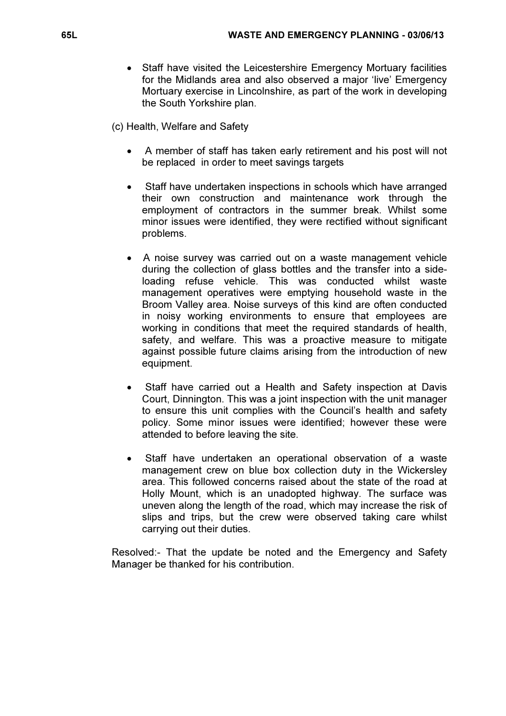• Staff have visited the Leicestershire Emergency Mortuary facilities for the Midlands area and also observed a major 'live' Emergency Mortuary exercise in Lincolnshire, as part of the work in developing the South Yorkshire plan.

(c) Health, Welfare and Safety

- A member of staff has taken early retirement and his post will not be replaced in order to meet savings targets
- Staff have undertaken inspections in schools which have arranged their own construction and maintenance work through the employment of contractors in the summer break. Whilst some minor issues were identified, they were rectified without significant problems.
- A noise survey was carried out on a waste management vehicle during the collection of glass bottles and the transfer into a sideloading refuse vehicle. This was conducted whilst waste management operatives were emptying household waste in the Broom Valley area. Noise surveys of this kind are often conducted in noisy working environments to ensure that employees are working in conditions that meet the required standards of health, safety, and welfare. This was a proactive measure to mitigate against possible future claims arising from the introduction of new equipment.
- Staff have carried out a Health and Safety inspection at Davis Court, Dinnington. This was a joint inspection with the unit manager to ensure this unit complies with the Council's health and safety policy. Some minor issues were identified; however these were attended to before leaving the site.
- Staff have undertaken an operational observation of a waste management crew on blue box collection duty in the Wickersley area. This followed concerns raised about the state of the road at Holly Mount, which is an unadopted highway. The surface was uneven along the length of the road, which may increase the risk of slips and trips, but the crew were observed taking care whilst carrying out their duties.

Resolved:- That the update be noted and the Emergency and Safety Manager be thanked for his contribution.